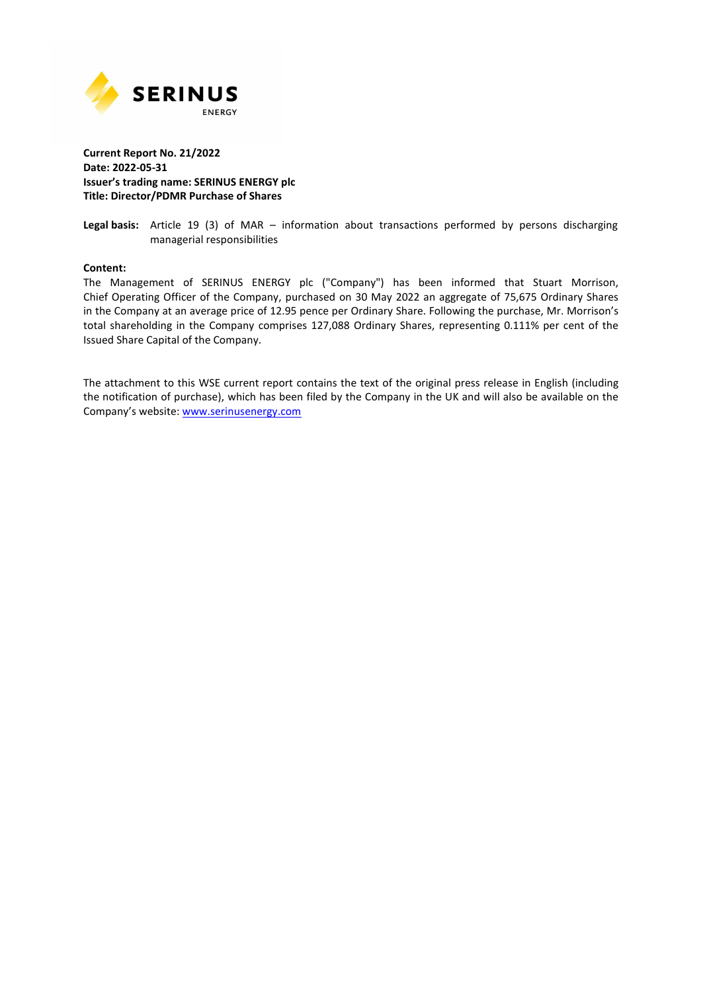

## **Current Report No. 21/2022 Date: 2022-05-31 Issuer's trading name: SERINUS ENERGY plc Title: Director/PDMR Purchase of Shares**

**Legal basis:** Article 19 (3) of MAR – information about transactions performed by persons discharging managerial responsibilities

## **Content:**

The Management of SERINUS ENERGY plc ("Company") has been informed that Stuart Morrison, Chief Operating Officer of the Company, purchased on 30 May 2022 an aggregate of 75,675 Ordinary Shares in the Company at an average price of 12.95 pence per Ordinary Share. Following the purchase, Mr. Morrison's total shareholding in the Company comprises 127,088 Ordinary Shares, representing 0.111% per cent of the Issued Share Capital of the Company.

The attachment to this WSE current report contains the text of the original press release in English (including the notification of purchase), which has been filed by the Company in the UK and will also be available on the Company's website: www.serinusenergy.com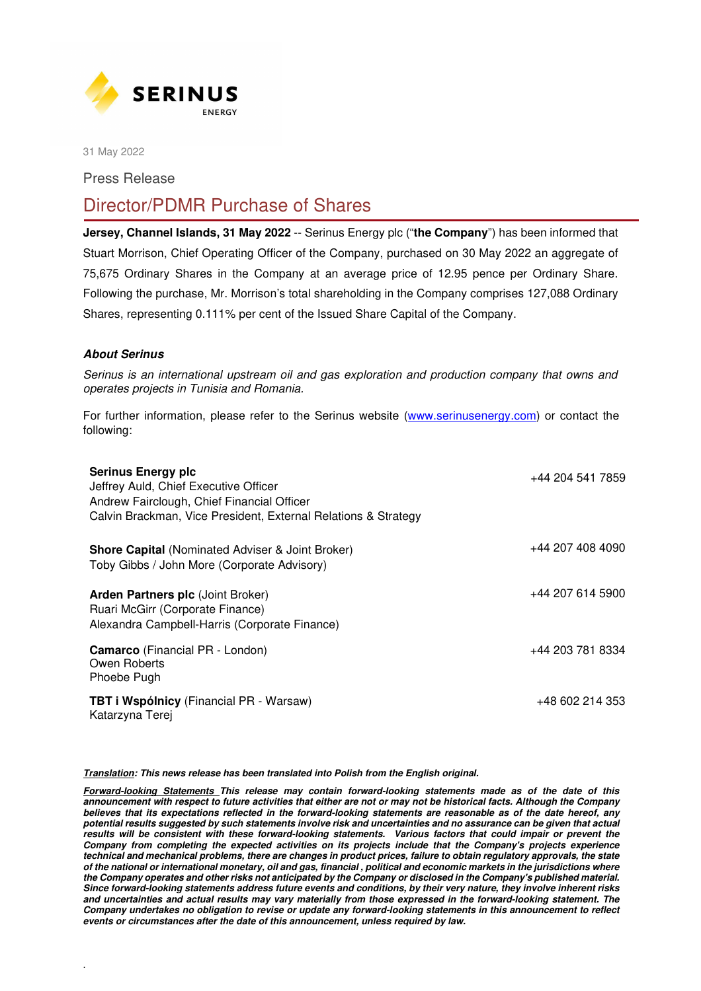

31 May 2022

Press Release

## Director/PDMR Purchase of Shares

**Jersey, Channel Islands, 31 May 2022** -- Serinus Energy plc ("**the Company**") has been informed that Stuart Morrison, Chief Operating Officer of the Company, purchased on 30 May 2022 an aggregate of 75,675 Ordinary Shares in the Company at an average price of 12.95 pence per Ordinary Share. Following the purchase, Mr. Morrison's total shareholding in the Company comprises 127,088 Ordinary Shares, representing 0.111% per cent of the Issued Share Capital of the Company.

## *About Serinus*

.

Serinus is an international upstream oil and gas exploration and production company that owns and operates projects in Tunisia and Romania.

For further information, please refer to the Serinus website (www.serinusenergy.com) or contact the following:

| <b>Serinus Energy plc</b><br>Jeffrey Auld, Chief Executive Officer<br>Andrew Fairclough, Chief Financial Officer<br>Calvin Brackman, Vice President, External Relations & Strategy | +44 204 541 7859 |
|------------------------------------------------------------------------------------------------------------------------------------------------------------------------------------|------------------|
| <b>Shore Capital (Nominated Adviser &amp; Joint Broker)</b><br>Toby Gibbs / John More (Corporate Advisory)                                                                         | +44 207 408 4090 |
| <b>Arden Partners plc (Joint Broker)</b><br>Ruari McGirr (Corporate Finance)<br>Alexandra Campbell-Harris (Corporate Finance)                                                      | +44 207 614 5900 |
| <b>Camarco</b> (Financial PR - London)<br>Owen Roberts<br>Phoebe Pugh                                                                                                              | +44 203 781 8334 |
| <b>TBT i Wspólnicy</b> (Financial PR - Warsaw)<br>Katarzyna Terej                                                                                                                  | +48 602 214 353  |

*Translation: This news release has been translated into Polish from the English original.* 

*Forward-looking Statements This release may contain forward-looking statements made as of the date of this announcement with respect to future activities that either are not or may not be historical facts. Although the Company believes that its expectations reflected in the forward-looking statements are reasonable as of the date hereof, any potential results suggested by such statements involve risk and uncertainties and no assurance can be given that actual results will be consistent with these forward-looking statements. Various factors that could impair or prevent the Company from completing the expected activities on its projects include that the Company's projects experience technical and mechanical problems, there are changes in product prices, failure to obtain regulatory approvals, the state of the national or international monetary, oil and gas, financial , political and economic markets in the jurisdictions where the Company operates and other risks not anticipated by the Company or disclosed in the Company's published material. Since forward-looking statements address future events and conditions, by their very nature, they involve inherent risks and uncertainties and actual results may vary materially from those expressed in the forward-looking statement. The Company undertakes no obligation to revise or update any forward-looking statements in this announcement to reflect events or circumstances after the date of this announcement, unless required by law.*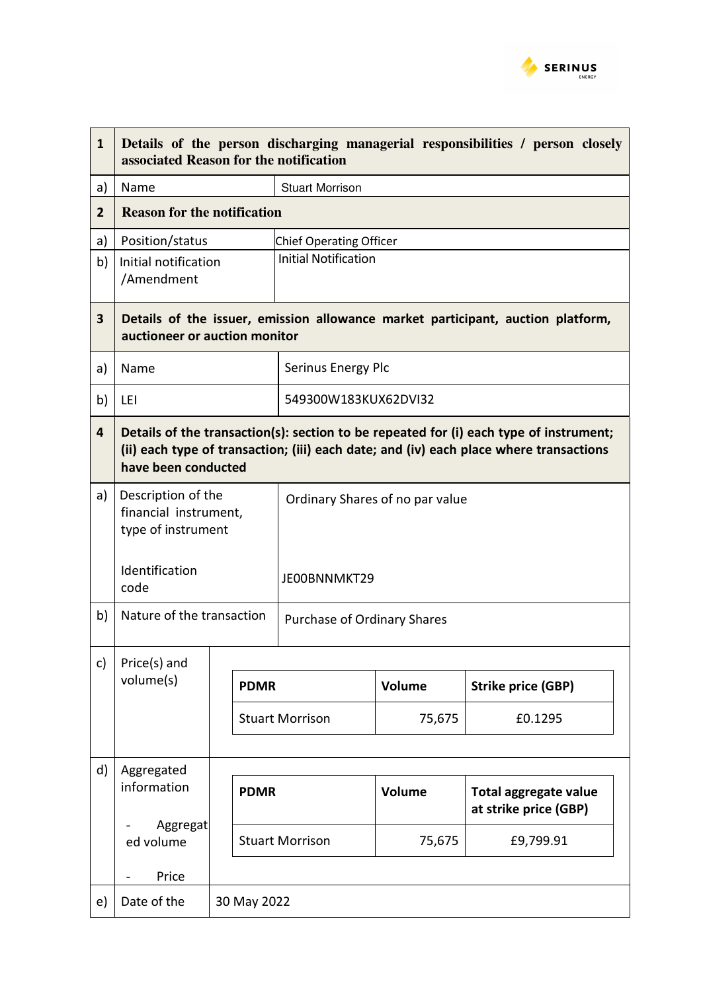

| $\mathbf{1}$            | Details of the person discharging managerial responsibilities / person closely<br>associated Reason for the notification                                                                                |             |             |                                                 |                  |                                                |  |
|-------------------------|---------------------------------------------------------------------------------------------------------------------------------------------------------------------------------------------------------|-------------|-------------|-------------------------------------------------|------------------|------------------------------------------------|--|
| a)                      | Name                                                                                                                                                                                                    |             |             | <b>Stuart Morrison</b>                          |                  |                                                |  |
| 2                       | <b>Reason for the notification</b>                                                                                                                                                                      |             |             |                                                 |                  |                                                |  |
| a)                      | Position/status                                                                                                                                                                                         |             |             | <b>Chief Operating Officer</b>                  |                  |                                                |  |
| b)                      | Initial notification<br>/Amendment                                                                                                                                                                      |             |             | <b>Initial Notification</b>                     |                  |                                                |  |
| $\overline{\mathbf{3}}$ | Details of the issuer, emission allowance market participant, auction platform,<br>auctioneer or auction monitor                                                                                        |             |             |                                                 |                  |                                                |  |
| a)                      | Name                                                                                                                                                                                                    |             |             | Serinus Energy Plc                              |                  |                                                |  |
| b)                      | LEI                                                                                                                                                                                                     |             |             | 549300W183KUX62DVI32                            |                  |                                                |  |
| $\overline{4}$          | Details of the transaction(s): section to be repeated for (i) each type of instrument;<br>(ii) each type of transaction; (iii) each date; and (iv) each place where transactions<br>have been conducted |             |             |                                                 |                  |                                                |  |
| a)                      | Description of the<br>financial instrument,<br>type of instrument<br>Identification<br>code                                                                                                             |             |             | Ordinary Shares of no par value<br>JE00BNNMKT29 |                  |                                                |  |
| b)                      | Nature of the transaction                                                                                                                                                                               |             |             | Purchase of Ordinary Shares                     |                  |                                                |  |
| c)                      | Price(s) and<br>volume(s)                                                                                                                                                                               |             | <b>PDMR</b> | <b>Stuart Morrison</b>                          | Volume<br>75,675 | <b>Strike price (GBP)</b><br>£0.1295           |  |
| d)                      | Aggregated<br>information<br>Aggregat                                                                                                                                                                   | <b>PDMR</b> |             |                                                 | Volume           | Total aggregate value<br>at strike price (GBP) |  |
|                         | ed volume                                                                                                                                                                                               |             |             | <b>Stuart Morrison</b>                          | 75,675           | £9,799.91                                      |  |
|                         | Price                                                                                                                                                                                                   |             |             |                                                 |                  |                                                |  |
| e)                      | Date of the                                                                                                                                                                                             | 30 May 2022 |             |                                                 |                  |                                                |  |